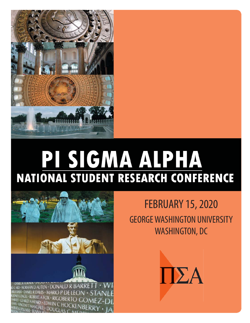

# PI SIGMA ALPHA **NATIONAL STUDENT RESEARCH CONFERENCE**



FEBRUARY 15, 2020 GEORGE WASHINGTON UNIVERSITY WASHINGTON, DC

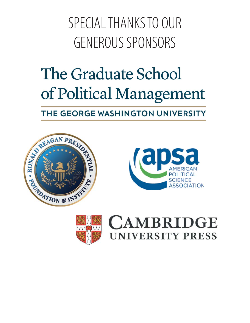## SPECIAL THANKS TO OUR GENEROUS SPONSORS

# The Graduate School of Political Management

THE GEORGE WASHINGTON UNIVERSITY







### **CAMBRIDGE NIVERSITY PRESS**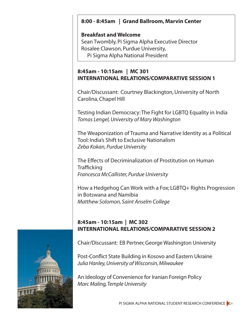#### **8:00 - 8:45am | Grand Ballroom, Marvin Center**

#### **Breakfast and Welcome**

Sean Twombly, Pi Sigma Alpha Executive Director Rosalee Clawson, Purdue University, Pi Sigma Alpha National President

#### **8:45am - 10:15am | MC 301 INTERNATIONAL RELATIONS/COMPARATIVE SESSION 1**

Chair/Discussant: Courtney Blackington, University of North Carolina, Chapel Hill

Testing Indian Democracy: The Fight for LGBTQ Equality in India *Tomas Lengel, University of Mary Washington*

The Weaponization of Trauma and Narrative Identity as a Political Tool: India's Shift to Exclusive Nationalism *Zeba Kokan, Purdue University* 

The Effects of Decriminalization of Prostitution on Human **Trafficking** *Francesca McCallister, Purdue University* 

How a Hedgehog Can Work with a Fox; LGBTQ+ Rights Progression in Botswana and Namibia *Matthew Solomon, Saint Anselm College*

#### **8:45am - 10:15am | MC 302 INTERNATIONAL RELATIONS/COMPARATIVE SESSION 2**

Chair/Discussant: EB Pertner, George Washington University

Post-Conflict State Building in Kosovo and Eastern Ukraine *Julia Hanley, University of Wisconsin, Milwaukee*

An Ideology of Convenience for Iranian Foreign Policy *Marc Maling, Temple University*

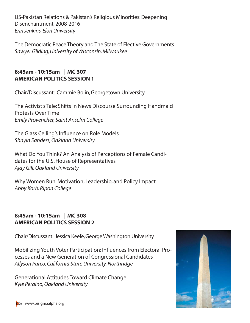US-Pakistan Relations & Pakistan's Religious Minorities: Deepening Disenchantment, 2008-2016 *Erin Jenkins, Elon University*

The Democratic Peace Theory and The State of Elective Governments *Sawyer Gilding, University of Wisconsin, Milwaukee*

#### **8:45am - 10:15am | MC 307 AMERICAN POLITICS SESSION 1**

Chair/Discussant: Cammie Bolin, Georgetown University

The Activist's Tale: Shifts in News Discourse Surrounding Handmaid Protests Over Time *Emily Provencher, Saint Anselm College*

The Glass Ceiling's Influence on Role Models *Shayla Sanders, Oakland University*

What Do You Think? An Analysis of Perceptions of Female Candidates for the U.S. House of Representatives *Ajay Gill, Oakland University*

Why Women Run: Motivation, Leadership, and Policy Impact *Abby Korb, Ripon College*

#### **8:45am - 10:15am | MC 308 AMERICAN POLITICS SESSION 2**

Chair/Discussant: Jessica Keefe, George Washington University

Mobilizing Youth Voter Participation: Influences from Electoral Processes and a New Generation of Congressional Candidates *Allyson Parco, California State University, Northridge*

Generational Attitudes Toward Climate Change *Kyle Peraino, Oakland University*

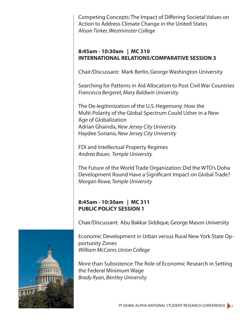Competing Concepts: The Impact of Differing Societal Values on Action to Address Climate Change in the United States *Alison Tinker, Westminster College*

#### **8:45am - 10:30am | MC 310 INTERNATIONAL RELATIONS/COMPARATIVE SESSION 3**

Chair/Discussant: Mark Berlin, George Washington University

Searching for Patterns in Aid Allocation to Post Civil War Countries *Francesca Bergeret, Mary Baldwin University*

The De-legitimization of the U.S. Hegemony: How the Multi-Polarity of the Global Spectrum Could Usher in a New Age of Globalization Adrian Ghainda, *New Jersey City University* Haydee Soriano, *New Jersey City University*

FDI and Intellectual Property Regimes *Andrea Bauer, Temple University*

The Future of the World Trade Organization: Did the WTO's Doha Development Round Have a Significant Impact on Global Trade? *Morgan Rowe, Temple University*

#### **8:45am - 10:30am | MC 311 PUBLIC POLICY SESSION 1**

Chair/Discussant: Abu Bakkar Siddique, George Mason University

Economic Development in Urban versus Rural New York State Opportunity Zones *William McCann, Union College* 

More than Subsistence: The Role of Economic Research in Setting the Federal Minimum Wage *Brady Ryan, Bentley University*

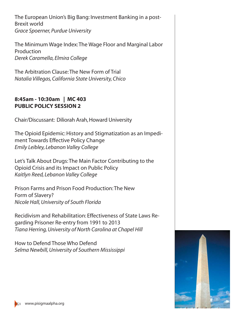The European Union's Big Bang: Investment Banking in a post-Brexit world *Grace Spoerner, Purdue University*

The Minimum Wage Index: The Wage Floor and Marginal Labor Production *Derek Caramella, Elmira College*

The Arbitration Clause: The New Form of Trial *Natalia Villegas, California State University, Chico*

#### **8:45am - 10:30am | MC 403 PUBLIC POLICY SESSION 2**

Chair/Discussant: Diliorah Arah, Howard University

The Opioid Epidemic: History and Stigmatization as an Impediment Towards Effective Policy Change *Emily Leibley, Lebanon Valley College*

Let's Talk About Drugs: The Main Factor Contributing to the Opioid Crisis and its Impact on Public Policy *Kaitlyn Reed, Lebanon Valley College*

Prison Farms and Prison Food Production: The New Form of Slavery? *Nicole Hall, University of South Florida*

Recidivism and Rehabilitation: Effectiveness of State Laws Regarding Prisoner Re-entry from 1991 to 2013 *Tiana Herring, University of North Carolina at Chapel Hill*

How to Defend Those Who Defend *Selma Newbill, University of Southern Mississippi*



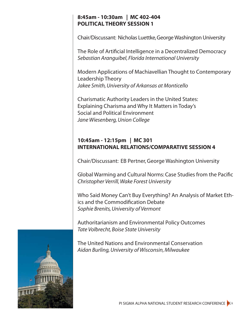#### **8:45am - 10:30am | MC 402-404 POLITICAL THEORY SESSION 1**

Chair/Discussant: Nicholas Luettke, George Washington University

The Role of Artificial Intelligence in a Decentralized Democracy *Sebastian Aranguibel, Florida International University*

Modern Applications of Machiavellian Thought to Contemporary Leadership Theory *Jakee Smith, University of Arkansas at Monticello*

Charismatic Authority Leaders in the United States: Explaining Charisma and Why It Matters in Today's Social and Political Environment *Jane Wiesenberg, Union College*

#### **10:45am - 12:15pm | MC 301 INTERNATIONAL RELATIONS/COMPARATIVE SESSION 4**

Chair/Discussant: EB Pertner, George Washington University

Global Warming and Cultural Norms: Case Studies from the Pacific *Christopher Verrill, Wake Forest University*

Who Said Money Can't Buy Everything? An Analysis of Market Ethics and the Commodification Debate *Sophie Brenits, University of Vermont* 

Authoritarianism and Environmental Policy Outcomes *Tate Volbrecht, Boise State University*

The United Nations and Environmental Conservation *Aidan Burling, University of Wisconsin, Milwaukee*

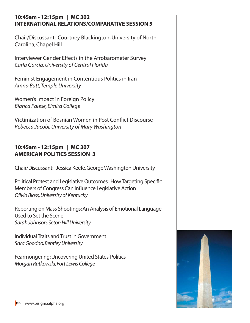#### **10:45am - 12:15pm | MC 302 INTERNATIONAL RELATIONS/COMPARATIVE SESSION 5**

Chair/Discussant: Courtney Blackington, University of North Carolina, Chapel Hill

Interviewer Gender Effects in the Afrobarometer Survey *Carla Garcia, University of Central Florida*

Feminist Engagement in Contentious Politics in Iran *Amna Butt, Temple University* 

Women's Impact in Foreign Policy *Bianca Palese, Elmira College*

Victimization of Bosnian Women in Post Conflict Discourse *Rebecca Jacobi, University of Mary Washington*

#### **10:45am - 12:15pm | MC 307 AMERICAN POLITICS SESSION 3**

Chair/Discussant: Jessica Keefe, George Washington University

Political Protest and Legislative Outcomes: How Targeting Specific Members of Congress Can Influence Legislative Action *Olivia Bloss, University of Kentucky*

Reporting on Mass Shootings: An Analysis of Emotional Language Used to Set the Scene *Sarah Johnson, Seton Hill University*

Individual Traits and Trust in Government *Sara Goodno, Bentley University*

Fearmongering: Uncovering United States' Politics *Morgan Rutkowski, Fort Lewis College*

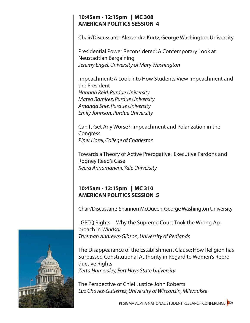#### **10:45am - 12:15pm | MC 308 AMERICAN POLITICS SESSION 4**

Chair/Discussant: Alexandra Kurtz, George Washington University

Presidential Power Reconsidered: A Contemporary Look at Neustadtian Bargaining *Jeremy Engel, University of Mary Washington*

Impeachment: A Look Into How Students View Impeachment and the President *Hannah Reid, Purdue University Mateo Ramirez, Purdue University Amanda Shie, Purdue University Emily Johnson, Purdue University*

Can It Get Any Worse?: Impeachment and Polarization in the **Congress** *Piper Horel, College of Charleston*

Towards a Theory of Active Prerogative: Executive Pardons and Rodney Reed's Case *Keera Annamaneni, Yale University*

#### **10:45am - 12:15pm | MC 310 AMERICAN POLITICS SESSION 5**

Chair/Discussant: Shannon McQueen, George Washington University

LGBTQ Rights—Why the Supreme Court Took the Wrong Approach in *Windsor Trueman Andrews-Gibson, University of Redlands*

The Disappearance of the Establishment Clause: How Religion has Surpassed Constitutional Authority in Regard to Women's Reproductive Rights *Zetta Hamersley, Fort Hays State University*

The Perspective of Chief Justice John Roberts *Luz Chavez-Gutierrez, University of Wisconsin, Milwaukee*



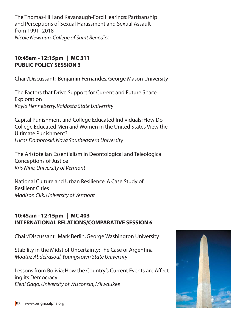The Thomas-Hill and Kavanaugh-Ford Hearings: Partisanship and Perceptions of Sexual Harassment and Sexual Assault from 1991- 2018 *Nicole Newman, College of Saint Benedict*

#### **10:45am - 12:15pm | MC 311 PUBLIC POLICY SESSION 3**

Chair/Discussant: Benjamin Fernandes, George Mason University

The Factors that Drive Support for Current and Future Space Exploration *Kayla Henneberry, Valdosta State University*

Capital Punishment and College Educated Individuals: How Do College Educated Men and Women in the United States View the Ultimate Punishment? *Lucas Dombroski, Nova Southeastern University*

The Aristotelian Essentialism in Deontological and Teleological Conceptions of Justice *Kris Nine, University of Vermont*

National Culture and Urban Resilience: A Case Study of Resilient Cities *Madison Cilk, University of Vermont*

#### **10:45am - 12:15pm | MC 403 INTERNATIONAL RELATIONS/COMPARATIVE SESSION 6**

Chair/Discussant: Mark Berlin, George Washington University

Stability in the Midst of Uncertainty: The Case of Argentina *Moataz Abdelrasoul, Youngstown State University*

Lessons from Bolivia: How the Country's Current Events are Affecting its Democracy *Eleni Gaqo, University of Wisconsin, Milwaukee*

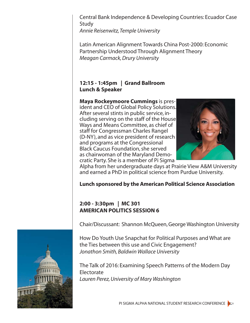Central Bank Independence & Developing Countries: Ecuador Case Study

*Annie Reisenwitz, Temple University*

Latin American Alignment Towards China Post-2000: Economic Partnership Understood Through Alignment Theory *Meagan Carmack, Drury University*

#### **12:15 - 1:45pm | Grand Ballroom Lunch & Speaker**

**Maya Rockeymoore Cummings** is president and CEO of Global Policy Solutions. After several stints in public service, including serving on the staff of the House Ways and Means Committee, as chief of staff for Congressman Charles Rangel (D-NY), and as vice president of research and programs at the Congressional Black Caucus Foundation, she served as chairwoman of the Maryland Democratic Party. She is a member of Pi Sigma



Alpha from her undergraduate days at Prairie View A&M University and earned a PhD in political science from Purdue University.

#### **Lunch sponsored by the American Political Science Association**

#### **2:00 - 3:30pm | MC 301 AMERICAN POLITICS SESSION 6**

Chair/Discussant: Shannon McQueen, George Washington University

How Do Youth Use Snapchat for Political Purposes and What are the Ties between this use and Civic Engagement? *Jonathon Smith, Baldwin Wallace University*

The Talk of 2016: Examining Speech Patterns of the Modern Day **Electorate** *Lauren Perez, University of Mary Washington*

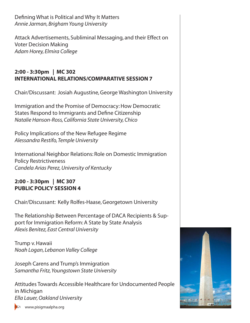Defining What is Political and Why It Matters *Annie Jarman, Brigham Young University*

Attack Advertisements, Subliminal Messaging, and their Effect on Voter Decision Making *Adam Horey, Elmira College*

#### **2:00 - 3:30pm | MC 302 INTERNATIONAL RELATIONS/COMPARATIVE SESSION 7**

Chair/Discussant: Josiah Augustine, George Washington University

Immigration and the Promise of Democracy: How Democratic States Respond to Immigrants and Define Citizenship *Natalie Hanson-Ross, California State University, Chico*

Policy Implications of the New Refugee Regime *Alessandra Restifo, Temple University*

International Neighbor Relations: Role on Domestic Immigration Policy Restrictiveness *Candela Arias Perez, University of Kentucky*

#### **2:00 - 3:30pm | MC 307 PUBLIC POLICY SESSION 4**

Chair/Discussant: Kelly Rolfes-Haase, Georgetown University

The Relationship Between Percentage of DACA Recipients & Support for Immigration Reform: A State by State Analysis *Alexis Benitez, East Central University*

Trump v. Hawaii *Noah Logan, Lebanon Valley College* 

Joseph Carens and Trump's Immigration *Samantha Fritz, Youngstown State University*

Attitudes Towards Accessible Healthcare for Undocumented People in Michigan *Ella Lauer, Oakland University*



**DEA** www.pisigmaalpha.org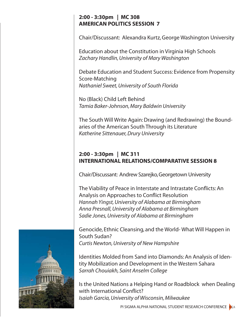#### **2:00 - 3:30pm | MC 308 AMERICAN POLITICS SESSION 7**

Chair/Discussant: Alexandra Kurtz, George Washington University

Education about the Constitution in Virginia High Schools *Zachary Handlin, University of Mary Washington*

Debate Education and Student Success: Evidence from Propensity Score-Matching *Nathaniel Sweet, University of South Florida*

No (Black) Child Left Behind *Tamia Baker-Johnson, Mary Baldwin University* 

The South Will Write Again: Drawing (and Redrawing) the Boundaries of the American South Through its Literature *Katherine Sittenauer, Drury University*

#### **2:00 - 3:30pm | MC 311 INTERNATIONAL RELATIONS/COMPARATIVE SESSION 8**

Chair/Discussant: Andrew Szarejko, Georgetown University

The Viability of Peace in Interstate and Intrastate Conflicts: An Analysis on Approaches to Conflict Resolution *Hannah Yingst, University of Alabama at Birmingham Anna Presnall, University of Alabama at Birmingham Sadie Jones, University of Alabama at Birmingham*

Genocide, Ethnic Cleansing, and the World- What Will Happen in South Sudan? *Curtis Newton, University of New Hampshire*

Identities Molded from Sand into Diamonds: An Analysis of Identity Mobilization and Development in the Western Sahara *Sarrah Chouiakh, Saint Anselm College*

Is the United Nations a Helping Hand or Roadblock when Dealing with International Conflict? *Isaiah Garcia, University of Wisconsin, Milwaukee*

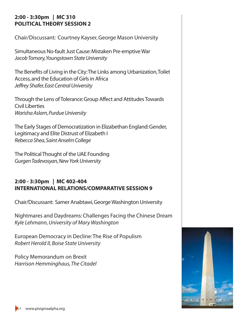#### **2:00 - 3:30pm | MC 310 POLITICAL THEORY SESSION 2**

Chair/Discussant: Courtney Kayser, George Mason University

Simultaneous No-fault Just Cause: Mistaken Pre-emptive War *Jacob Tomory, Youngstown State University*

The Benefits of Living in the City: The Links among Urbanization, Toilet Access, and the Education of Girls in Africa *Jeffrey Shafer, East Central University*

Through the Lens of Tolerance: Group Affect and Attitudes Towards Civil Liberties *Warisha Aslam, Purdue University*

The Early Stages of Democratization in Elizabethan England: Gender, Legitimacy and Elite Distrust of Elizabeth I *Rebecca Shea, Saint Anselm College*

The Political Thought of the UAE Founding *Gurgen Tadevosyan, New York University*

#### **2:00 - 3:30pm | MC 402-404 INTERNATIONAL RELATIONS/COMPARATIVE SESSION 9**

Chair/Discussant: Samer Anabtawi, George Washington University

Nightmares and Daydreams: Challenges Facing the Chinese Dream *Kyle Lehmann, University of Mary Washington*

European Democracy in Decline: The Rise of Populism *Robert Herold II, Boise State University*

Policy Memorandum on Brexit *Harrison Hemminghaus, The Citadel*



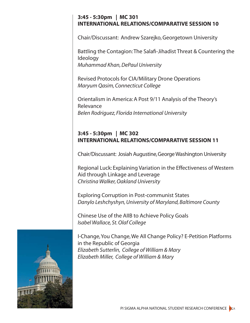#### **3:45 - 5:30pm | MC 301 INTERNATIONAL RELATIONS/COMPARATIVE SESSION 10**

Chair/Discussant: Andrew Szarejko, Georgetown University

Battling the Contagion: The Salafi -Jihadist Threat & Countering the Ideology *Muhammad Khan, DePaul University*

Revised Protocols for CIA/Military Drone Operations *Maryum Qasim, Connecticut College*

Orientalism in America: A Post 9/11 Analysis of the Theory's Relevance *Belen Rodriguez, Florida International University*

#### **3:45 - 5:30pm | MC 302 INTERNATIONAL RELATIONS/COMPARATIVE SESSION 11**

Chair/Discussant: Josiah Augustine, George Washington University

Regional Luck: Explaining Variation in the Effectiveness of Western Aid through Linkage and Leverage *Christina Walker, Oakland University*

Exploring Corruption in Post-communist States *Danylo Leshchyshyn, University of Maryland, Baltimore County*

Chinese Use of the AIIB to Achieve Policy Goals *Isabel Wallace, St. Olaf College*

I-Change, You Change, We All Change Policy? E-Petition Platforms in the Republic of Georgia *Elizabeth Sutterlin, College of William & Mary Elizabeth Miller, College of William & Mary*

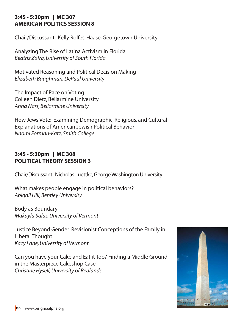#### **3:45 - 5:30pm | MC 307 AMERICAN POLITICS SESSION 8**

Chair/Discussant: Kelly Rolfes-Haase, Georgetown University

Analyzing The Rise of Latina Activism in Florida *Beatriz Zafra, University of South Florida*

Motivated Reasoning and Political Decision Making *Elizabeth Baughman, DePaul University*

The Impact of Race on Voting Colleen Dietz, Bellarmine University *Anna Nars, Bellarmine University*

How Jews Vote: Examining Demographic, Religious, and Cultural Explanations of American Jewish Political Behavior *Naomi Forman-Katz, Smith College*

#### **3:45 - 5:30pm | MC 308 POLITICAL THEORY SESSION 3**

Chair/Discussant: Nicholas Luettke, George Washington University

What makes people engage in political behaviors? *Abigail Hill, Bentley University*

Body as Boundary *Makayla Salas, University of Vermont*

Justice Beyond Gender: Revisionist Conceptions of the Family in Liberal Thought *Kacy Lane, University of Vermont*

Can you have your Cake and Eat it Too? Finding a Middle Ground in the Masterpiece Cakeshop Case *Christine Hysell, University of Redlands*



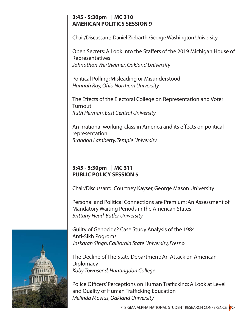#### **3:45 - 5:30pm | MC 310 AMERICAN POLITICS SESSION 9**

Chair/Discussant: Daniel Ziebarth, George Washington University

Open Secrets: A Look into the Staffers of the 2019 Michigan House of Representatives *Johnathon Wertheimer, Oakland University*

Political Polling: Misleading or Misunderstood *Hannah Ray, Ohio Northern University*

The Effects of the Electoral College on Representation and Voter **Turnout** *Ruth Herman, East Central University*

An irrational working-class in America and its effects on political representation *Brandon Lamberty, Temple University*

#### **3:45 - 5:30pm | MC 311 PUBLIC POLICY SESSION 5**

Chair/Discussant: Courtney Kayser, George Mason University

Personal and Political Connections are Premium: An Assessment of Mandatory Waiting Periods in the American States *Brittany Head, Butler University*

Guilty of Genocide? Case Study Analysis of the 1984 Anti-Sikh Pogroms *Jaskaran Singh, California State University, Fresno*

The Decline of The State Department: An Attack on American **Diplomacy** *Koby Townsend, Huntingdon College*

Police Officers' Perceptions on Human Trafficking: A Look at Level and Quality of Human Trafficking Education *Melinda Movius, Oakland University*

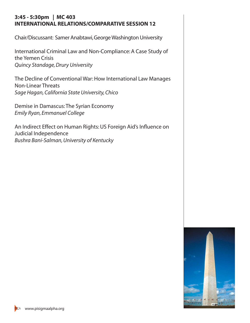#### **3:45 - 5:30pm | MC 403 INTERNATIONAL RELATIONS/COMPARATIVE SESSION 12**

Chair/Discussant: Samer Anabtawi, George Washington University

International Criminal Law and Non-Compliance: A Case Study of the Yemen Crisis *Quincy Standage, Drury University*

The Decline of Conventional War: How International Law Manages Non-Linear Threats *Sage Hagan, California State University, Chico*

Demise in Damascus: The Syrian Economy *Emily Ryan, Emmanuel College*

An Indirect Effect on Human Rights: US Foreign Aid's Influence on Judicial Independence *Bushra Bani-Salman, University of Kentucky*

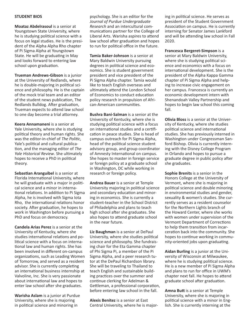#### **STUDENT BIOS**

**Moataz Abdelrasoul** is a senior at Youngstown State University, where he is studying political science with a focus on legal studies. He is the president of the Alpha Alpha Rho chapter of Pi Sigma Alpha at Youngstown State. He will be graduating in May and looks forward to entering law school upon graduation.

**Trueman Andrews-Gibson** is a junior at the University of Redlands, where he is double-majoring in political science and philosophy. He is the captain of the mock trial team and an editor of the student news publication, The Redlands Bulldog. After graduation, Trueman expects to attend law school to one day become a trial attorney.

**Keera Annamaneni** is a senior at Yale University, where she is studying political theory and human rights. She was the editor-in-chief of The Politic, Yale's political and cultural publication, and the managing editor of The Yale Historical Review. She ultimately hopes to receive a PhD in political theory.

Sebastian Aranguibel is a senior at Florida International University, where he will graduate with a major in political science and a minor in interna tional relations. In addition to Pi Sigma Alpha, he is involved with Sigma Iota Rho, the international relations honor society. After graduation, he hopes to work in Washington before pursuing a PhD and focus on democracy.

**Candela Arias Perez** is a senior at the University of Kentucky, where she studies international relations and political science with a focus on international law and human rights. She has been involved in different on-campus organizations, such as Leading Women of Tomorrow, and served as a resident advisor. She is currently completing an international business internship at Valvoline, Inc. She is very passionate about international law and hopes to enter law school after she graduates.

**Warisha Aslam** is a junior at Purdue University, where she is majoring in political science and minoring in

psychology. She is an editor for the *Journal of Purdue Undergraduate Research* and an intercultural communications partner for the College of Liberal Arts. Warisha aspires to attend law school after graduation and hopes to run for political office in the future.

**Tamia Baker-Johnson** is a senior at Mary Baldwin University pursuing degrees in political science and economics. She is student government president and vice president of the Pi Sigma Alpha chapter. Tamia would like to teach English overseas and ultimately attend the London School of Economics to conduct education policy research in propulsion of African-American communities.

**Bushra Bani-Salman** is a senior at the University of Kentucky, where she is studying political science with a focus on international studies and a certification in peace studies. She is head of campus outreach for Pi Sigma Alpha, head of the political science student advisory group, and group coordinator of Amnesty International on campus. She hopes to master in foreign service or foreign policy at a graduate school in Washington, DC while working in research or foreign policy.

**Andrea Bauer** is a senior at Temple University majoring in political science and secondary education and minoring in economics. She is currently a student-teacher in the School District of Philadelphia and plans to teach high school after she graduates. She also hopes to attend graduate school in the near future.

**Liz Baughman** is a senior at DePaul University, where she studies political science and philosophy. She fundraising chair for the Eta Gamma chapter of Phi Sigma Pi, a member of the Pi Sigma Alpha, and a peer research tutor at the DePaul Richardson library. She will be traveling to Thailand to teach English and sustainable building practices over the summer and continue clerking for Adelman & Gettleman, a professional corporation, before entering law school in the fall.

**Alexis Benitez** is a senior at East Central University, where he is major-

ing in political science. He serves as president of the Student Government Association on campus. He is currently interning for Senator James Lankford and will be attending law school in Fall 2020.

**Francesca Bergeret-Simpson** is a senior at Mary Baldwin University, where she is studying political science and economics with a focus on international development. She is the president of the Alpha Kappa Gamma chapter of Pi Sigma Alpha and helping to increase civic engagement on her campus. Francesca is currently an economic development intern with Shenandoah Valley Partnership and hopes to begin law school this coming fall.

**Olivia Bloss** is a senior at the University of Kentucky, where she studies political science and international studies. She has previously interned in Washington under Congressman Sanford Bishop. Olivia is currently interning with the Disney College Program in Orlando and hopes to pursue a graduate degree in public policy after she graduates.

**Sophie Brenits** is a senior in the Honors College at the University of Vermont, where she is majoring in political science and double minoring in environmental studies and gender, sexuality & women's studies. She currently serves as a resident counselor for the Northern Lights branch of the Howard Center, where she works with women under supervision of the Vermont Department of Corrections to help them transition from incarceration back into the community. She hopes to continue working in community-oriented jobs upon graduating.

**Aidan Burling** is a junior at the University of Wisconsin at Milwaukee, where he is studying political science. He is a new member of Pi Sigma Alpha and plans to run for office in UWM's chapter next fall. He hopes to attend graduate school after graduation.

**Amna Butt** is a senior at Temple University, where she is majoring in political science with a minor in English. She is currently interning at the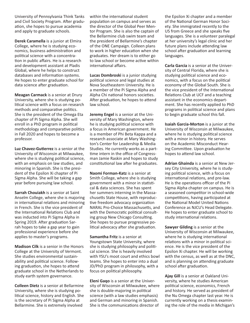University of Pennsylvania Think Tanks and Civil Society Program. After graduation, she hopes to pursue academia and apply to graduate schools.

**Derek Caramella** is a junior at Elmira College, where he is studying economics, business administration and political science with a concentration in public affairs. He is a research and development assistant at Pladis Global, where he helps to construct databases and information systems. He hopes to enter graduate school for data science after graduation.

**Meagan Carmack** is a senior at Drury University, where she is studying political science with a focus on research methods and comparative politics. She is the president of the Omega Eta chapter of Pi Sigma Alpha. She will enroll in a PhD program in political methodology and comparative politics in Fall 2020 and hopes to become a professor.

Luz Chavez-Gutierrez is a senior at the University of Wisconsin at Milwaukee, where she is studying political science, with an emphasis on law studies, and minoring in Spanish. She is the president of the Epsilon Xi chapter of Pi Sigma Alpha. She will be taking a gap year before pursuing law school.

**Sarrah Chouiakh** is a senior at Saint Anselm College, where she is majoring in international relations and minoring in French. She is the vice president of the International Relations Club and was inducted into Pi Sigma Alpha in Spring 2019. After graduation Sarrah hopes to take a gap year to gain professional experience before she applies to master's programs.

**Madison Cilk** is a senior in the Honors College at the University of Vermont. She studies environmental sustainability and political science. Following graduation, she hopes to attend graduate school in the Netherlands to study earth system governance.

**Colleen Dietz** is a senior at Bellarmine University, where she is studying political science, history and English. She is the secretary of Pi Sigma Alpha at Bellarmine. She is extremely involved

within the international student population on campus and serves as the director of the Global Peer Mentor Program. She is also the captain of the Bellarmine club swim team and the president of Bellarmine's chapter of the ONE Campaign. Colleen plans to work in higher education when she graduates. Her dream is to either go to law school or become active within international affairs.

**Lucas Dombroski** is a junior studying political science and legal studies at Nova Southeastern University. He is a member of the Pi Sigma Alpha and Alpha Chi national honors societies. After graduation, he hopes to attend law school.

**Jeremy Engel** is a senior at the University of Mary Washington, where he is studying political science with a focus in American government. He is a member of Phi Beta Kappa and a research associate at Mary Washington's Center for Leadership & Media Studies. He currently works as a part time intern in the office of Congressman Jamie Raskin and hopes to study constitutional law after he graduates.

**Naomi Forman-Katz** is a senior at Smith College, where she is studying government with a minor in statistical & data sciences. She has spent her summers interning in the Massachusetts State House, with reproductive freedom advocacy organization NARAL Pro-Choice Massachusetts, and with the Democratic political consulting group New Chicago Consulting. She hopes to pursue progressive political advocacy after she graduation.

**Samantha Fritz** is a senior at Youngstown State University, where she is studying philosophy and political science. She is heavily involved with YSU's moot court and ethics bowl teams. She hopes to enter into a dual JD/PhD program in philosophy, with a focus on political philosophy.

**Eleni Gaqo** is a senior at the University of Wisconsin at Milwaukee, where she is double-majoring in political science (with a law studies emphasis) and German and minoring in Spanish. She is the communications director of

the Epsilon Xi chapter and a member of the National German Honor Society. She immigrated recently to the US from Greece and she speaks five languages. She is a volunteer paralegal at her university's legal clinic and her future plans include attending law school after graduation and learning languages.

**Carla Garcia** is a senior at the University of Central Florida, where she is studying political science and economics, with a focus on the political economy of the Global South. She is the vice president of the International Relations Club at UCF and a teaching assistant in the economics department. She has recently applied to PhD programs in political science and plans to begin graduate school this fall.

**Isaiah Garcia-Morton** is a junior at the University of Wisconsin at Milwaukee, where he is studying political science with a minor in history. He serves on the Academic Misconduct Hearing Committee. Upon graduation he hopes to attend law school.

**Adrian Ghainda** is a senior at New Jersey City University, where he is studying political science, with a focus on international relations, and pre-law. He is the operations officer of the Pi Sigma Alpha chapter on campus. He is a seasoned competitor in school-wide competitions, having participated at the National Model United Nations Conference as NJCU's Head Delegate. He hopes to enter graduate school to study international relations.

**Sawyer Gilding** is a senior at the University of Wisconsin at Milwaukee, where he is studying international relations with a minor in political science. He is the vice president of the Epsilon Xi chapter. He will be working with the census, as well as at the DNC, and is planning on attending graduate school after graduation.

**Ajay Gill** is a senior at Oakland University, where he studies American political science, economics, French and history. He served as president of the Nu Omega chapter last year. He is currently working on a thesis examining the role of the media in Michigan's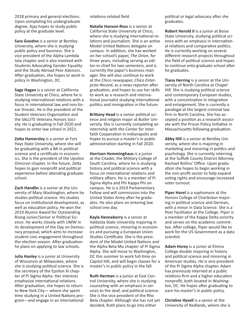2018 primary and general elections. Upon completing his undergraduate degree, Ajay hopes to study public policy at the graduate level.

**Sara Goodno** is a senior at Bentley University, where she is studying public policy and business. She is vice president of the Alpha Lambda Iota chapter and is also involved with Students Advocating Gender Equality and the Study Abroad Peer Advisors. After graduation, she hopes to work in policy in Washington, DC.

**Sage Hagan** is a senior at California State University at Chico, where he is studying international relations with a focus in international law and non-linear threats. He is the president of the Student Veterans Organization and the SALUTE Veterans Honors Society. He is graduating in Fall 2020 and hopes to enter law school in 2021.

**Zetta Hamersley** is a senior at Fort Hays State University, where she will be graduating with a BA in political science and a certificate in economics. She is the president of the Upsilon Omicron chapter. In the future, Zetta hopes to gain nonprofit and political experience before attending graduate school.

**Zach Handlin** is a senior at the University of Mary Washington, where he studies political science. His studies focus on institutional development, as well as education policy. He won the 2019 Alumni Award for Outstanding Rising Junior/Senior in Political Science. He works closely with UMW in its development of the Day on Democracy proposal, which aims to increase student civic engagement throughout the election season. After graduationhe plans on applying to law schools.

**Julia Hanley** is a junior at University of Wisconsin at Milwaukee, where she is studying political science. She is the secretary of the Epsilon Xi chapter of Pi Sigma Alpha. Her interests emphasize international relations. After graduation, she hopes to return to New York City— where she spent time studying in a United Nations program-and engage in an international

relations-related field.

**Natalie Hanson-Ross** is a senior at California State University at Chico, where she is studying international relations and journalism. She is an active Model United Nations delegate on campus. In addition, she has worked on her school's paper, *The Orion*, for three years, including serving as editor-in-chief for two semesters, and is currently the paper's business manager. She will also continue to work at the Chico newspaper, *Chico Enterprise-Record*, as a news reporter after graduation, and hopes to use her skills to work as a research and interna tional journalist studying international politics and immigration in the future.

Brittany Head is a senior political science and religion major at Butler University. She is currently completing an internship with the Center for Interfaith Cooperation in Indianapolis and hopes to pursue a master's in public administration starting in Fall 2020.

**Harrison Hemminghaus** is a junior at the Citadel, the Military College of South Carolina, where he is studying history and political science with a focus on international relations and military affairs. He is a member of Pi Sigma Alpha and Phi Kappa Phi on campus. He is a 2019 Parliamentary Fellow and will commission into the United States Army after he graduates. He also plans on entering law school one day.

**Kayla Henneberry** is a senior at Valdosta State University majoring in political science, minoring in economics and pursuing a European Union Studies Certificate. She is the president of the Model United Nations and the Alpha Beta Mu chapter of Pi Sigma Alpha. She will move to Washington, DC this summer to work full-time on Capitol Hill, and will begin classes for a master's in public policy in the fall.

**Ruth Herman** is a junior at East Central University, where she is studying counseling with an emphasis in services to the deaf, and political science. She is the vice president of the Rho Beta chapter. Although she has not yet decided, Ruth plans to go into either

political or legal advocacy after she graduates.

**Robert Herold II** is a junior at Boise State University, studying political science with an emphasis in international relations and comparative politics. He is currently working on several different research projects throughout the field of political science and hopes to continue onto graduate school after he graduates.

**Tiana Herring** is a senior at the University of North Carolina at Chapel Hill. She is studying political science and contemporary European studies, with a concentration in integration and enlargement. She is currently a paralegal at the largest criminal law firm in North Carolina. She has accepted a position as a research associate with the Prison Policy Initiative in Massachusetts following graduation.

**Abby Hill** is a senior at Bentley University, where she is majoring in marketing and minoring in politics and psychology. She is currently interning at the Suffolk County District Attorney Rachael Rollins' Office. Upon graduation she hopes to begin working in the non-profit sector to help expand voting rights and encourage increased voter turnout.

**Piper Horel** is a sophomore at the Honors College of Charleston majoring in political science and German, with a minor in Data Science. She is a Peer Facilitator at the College. Piper is a member of the Kappa Delta sorority and serves on the academic committee. After college, Piper would like to work for the US Government as a data scientist.

**Adam Horey** is a junior at Elmira College double majoring in history and political science and minoring in American studies. He is vice president of the Pi Sigma Alpha chapter. Adam has previously interned at a public relations firm and a higher education nonprofit, both located in Washington, DC. He hopes after graduating to earn his master's in public policy.

**Christine Hysell** is a senior at the University of Redlands, where she is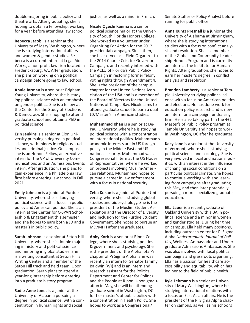double-majoring in public policy and theatre arts. After graduating, she is hoping to obtain a fellowship, working for a year before attending law school.

**Rebecca Jacobi** is a senior at the University of Mary Washington, where she is studying international affairs and women & gender studies. Rebecca is a current intern at Legal Aid Works, a non-profit law firm located in Fredericksburg, VA. After graduation, she plans on working on a political campaign before going to law school.

**Annie Jarman** is a senior at Brigham Young University, where she is studying political science with an emphasis on gender politics. She is a fellow at the Center for the Study of Elections & Democracy. She is hoping to attend graduate school and obtain a PhD in political science.

**Erin Jenkins** is a senior at Elon University pursuing a degree in political science, with minors in religious studies and criminal justice. On campus, she is an Honors Fellow, an executive intern for the VP of University Communications and an Admissions Events intern. After graduation, she plans to gain experience in a Philadelphia law firm before entering law school in Fall 2021.

**Emily Johnson** is a junior at Purdue University, where she is studying political science with a focus in public policy and American politics. She is an intern at the Center for C-SPAN Scholarship & Engagement this semester and she hopes to earn both a JD and a master's in public policy.

**Sarah Johnson** is a senior at Seton Hill University, where she is double majoring in history and political science and minoring in global studies. She is a writing consultant at Seton Hill's Writing Center and a member of the Seton Hill track and field team. Upon graduation, Sarah plans to attend a year-long internship before entering into a graduate history program.

**Sadie-Anne Jones** is a junior at the University of Alabama pursuing a degree in political science, with a concentration in human rights and social

justice, as well as a minor in French.

**Nicole Ogechi Kanma** is a senior political science major at the University of South Florida Honors College. She worked as a volunteer under Organizing For Action for the 2012 presidential campaign. Since then, she has served as a Field Organizer to the 2014 Charlie Crist for Governor Campaign, and recently interned with the ACLU of Florida's Public Policy Campaign in restoring former felony voting rights through Amendment 4. She is the president of the campus chapter for the United Nations Association of the USA and is a member of the Board of Directors for the United Nations of Tampa Bay. Nicole aims to attend graduate school to earn a dual JD/Master's in American studies.

**Muhammad Khan** is a senior at De-Paul University, where he is studying political science with a concentration on international politics. Muhammad's academic interests are in US foreign policy in the Middle East and US national security. Muhammad was a Congressional Intern at the US House of Representatives, where he worked on projects involving Muslim-American relations. Muhammad hopes to pursue a career in law enforcement with a focus in national security.

**Zeba Kokan** is a junior at Purdue University, where she is studying global studies and biopsychology. She is the president of the Muslim Student Association and the Director of Diversity and Inclusion for the Purdue Student Government. She hopes to pursue an MD/MPH after she graduates.

**Abby Korb** is a senior at Ripon College, where she is studying politics & government and psychology. She is the president of the Alpha Iota Pi chapter of Pi Sigma Alpha. She was recently an intern for Senator Tammy Baldwin (WI) and is an intern and research assistant for the Politics Department and Center for Politics and the People at Ripon. Upon graduation in May, she will be attending graduate school in Washington, DC for her master's of public policy with a concentration in Health Policy. She hopes to work as a Congressional/

Senate Staffer or Policy Analyst before running for public office.

**Anna Kuntz Presnall** is a junior at the University of Alabama at Birmingham, where she is studying international studies with a focus on conflict analysis and resolution. She is a member of the Global and Community Leadership Honors Program and is currently an intern at the Institute for Human Rights. After graduation, she hopes to earn her master's degree in conflict analysis and resolution.

**Brandon Lamberty** is a senior at Temple University studying political science with a focus on American politics and elections. He has done work for education policy research and is now an intern for a campaign fundraising firm. He is also taking part in the  $4+1$ Master's of Public Policy program at Temple University and hopes to work in Washington, DC after he graduates.

**Kacy Lane** is a senior at the University of Vermont, where she is studying political science and sociology. She is very involved in local and national politics, with an interest in the influence of changing social conditions on a particular political climate. She hopes to continue working with and learning from campaigns after graduating this May, and then later potentially pursuing a more specialized graduate education.

**Ella Lauer** is a recent graduate of Oakland University with a BA in political science and a minor in women and gender studies. During her time on campus, Ella held many positions, including outreach editor for Pi Sigma Alpha *Undergraduate Journal of Poli- - cs*, Wellness Ambassador and Undergraduate Admissions Ambassador. She was also involved with local political campaigns and grassroots organizing. Ella has a passion for healthcare accessibility and equitability, which has led her to the field of public health.

**Kyle Lehmann** is a senior at University of Mary Washington, where he is studying international relations with a focus on East Asian affairs. He is the president of the Pi Sigma Alpha chapter on campus, as well as his school's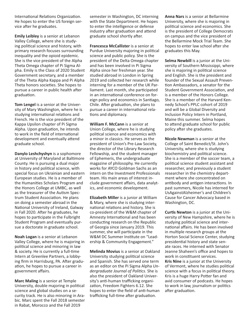International Relations Organization. He hopes to enter the US foreign service after he graduates.

**Emily Leibley** is a senior at Lebanon Valley College, where she is studying political science and history, with primary research focuses surrounding inequality and the opioid epidemic. She is the vice president of the Alpha Theta Omega chapter of Pi Sigma Alpha. Emily is the Class of 2020 Student Government secretary, and a member of the Theta Alpha Kappa and Pi Alpha Theta honors societies. She hopes to pursue a career in public health after graduation.

**Tom Lengel** is a senior at the University of Mary Washington, where he is studying international relations and French. He is the vice president of the Kappa Upsilon chapter of Pi Sigma Alpha. Upon graduation, he intends to work in the field of international development and eventually attend graduate school.

**Danylo Leshchyshyn** is a sophomore at University of Maryland at Baltimore County. He is pursuing a dual major in history and political science, with special focus on Ukrainian and eastern European studies. He is a member of the Humanities Scholars Program and the Honors College at UMBC, as well as the treasurer of the Autism Spectrum Student Association. He plans on doing a semester abroad in the National University of Ireland, Galway in Fall 2020. After he graduates, he hopes to participate in the Fulbright Student Program and eventually pursue a doctorate in graduate school.

**Noah Logan** is a senior at Lebanon Valley College, where he is majoring in political science and minoring in law & society. He is currently a full-time Intern at Greenlee Partners, a lobbying firm in Harrisburg, PA. After graduation, he hopes to pursue a career in government affairs.

**Marc Maling** is a senior at Temple University, double majoring in political science and global studies on a security track. He is also minoring in Arabic. Marc spent the Fall 2018 semester in Rabat, Morocco and the Fall 2019

semester in Washington, DC interning with the State Department. He hopes to enter the intelligence or defense industry after graduation and attend graduate school shortly after.

**Francesca McCallister** is a senior at Purdue University majoring in political science and public policy. She is the president of the Delta Omega chapter and has been involved in Pi Sigma Alpha since her freshman year. She studied abroad in London in Spring 2019 and collected her research while interning for a member of the UK Parliament. Last month, she participated in an international conference on foreign policy and economics in Santiago, Chile. After graduation, she plans to pursue a career in international relations and diplomacy.

**William F. McCann** is a senior at Union College, where he is studying political science and economics with a minor in classics. He serves as the president of Union's Pre-Law Society, the director of the Library Research Fellowship, and the student manager of Ephemeris, the undergraduate magazine of philosophy. He currently works for AYCO Goldman Sachs as an intern on the Investment Professionals team. His main areas of interest include government affairs, data analytics, and economic development.

**Elizabeth Miller** is a junior at William & Mary, where she is studying international relations and history. She is co-president of the W&M chapter of Amnesty International and has been conducting research on the Republic of Georgia since January 2019. This summer, she will participate in the W&M DC Summer Institute on "Leadership & Community Engagement."

**Melinda Movius** is a senior at Oakland University studying political science and Spanish. She has served one term as an editor on the Pi Sigma Alpha *Un*dergraduate Journal of Politics. She is also the president of Oakland University's anti-human trafficking organization, Freedom Fighters 6.12. She hopes to enter the field of anti-human trafficking full-time after graduation.

**Anna Nars** is a senior at Bellarmine University, where she is majoring in political science and economics. She is the president of College Democrats on campus and the vice president of the Bellarmine Mock Trial Team. She hopes to enter law school after she graduates this May.

**Selma Newbill** is a junior at the University of Southern Mississippi, where she is majoring in political science and English. She is the president and founder of the Sexual Assault Preven tion Ambassadors, a senator for the Student Government Association, and is a member of the Honors College. She is a member of the Harvard Kennedy School's PPLC cohort of 2019 and will be a Global Diversity and Inclusion Policy Intern in Portland, Maine this summer. Selma hopes to attend graduate school for public policy after she graduates.

**Nicole Newman** is a senior at the College of Saint Benedict/St. John's University, where she is studying biochemistry and political science. She is a member of the soccer team, a political science student assistant and researcher, and previously a student researcher in the chemistry department where she concentrated on antibody and antigen interactions. In past summers, Nicole has interned for UsAgainstAlzheimer's and Children's Cause for Cancer Advocacy based in Washington, DC.

**Curtis Newton** is a junior at the University of New Hampshire, where he is studying political science and international affairs. He has been involved in multiple research groups at the Horton Social Science Center, studying presidential history and state senate races. He interned with Senator Jeanne Shaheen's office and hopes to work in constituent services. **Kris Nine** is a junior at the University of Vermont, where he studies political science with a focus in political theory. Kris is a huge Harry Potter fan and avid consumer of podcasts. He hopes to work in law, journalism or politics after graduation.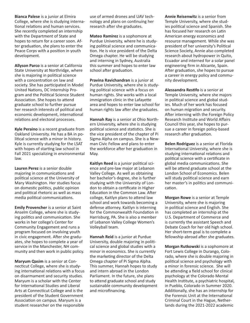**Bianca Palese** is a junior at Elmira College, where she is studying interna tional relations and human services. She recently completed an internship with the Department of State and hopes to return for a career soon. After graduation, she plans to enter the Peace Corps with a position in youth development.

**Allyson Parco** is a senior at California State University at Northridge, where she is majoring in political science with a concentration on law and society. She has participated in Model United Nations, DC Internship Program and the Political Science Student Association. She hopes to attend graduate school to further pursue her research interests of political and economic development, international relations and electoral processes.

**Kyle Peraino** is a recent graduate from Oakland University. He has a BA in political science with a minor in history. Kyle is currently studying for the LSAT with hopes of starting law school in Fall 2021 specializing in environmental law.

**Lauren Perez** is a senior double majoring in communications and political science at the University of Mary Washington. Her studies focus on domestic politics, public opinion and political rhetoric as well as mass media political communications.

**Emily Provencher** is a senior at Saint Anselm College, where she is studying politics and communication. She works in her college's Center for Community Engagement and runs a program focused on involving youth in civic engagement. After she graduates, she hopes to complete a year of service in the Manchester, NH community and then work in public policy.

**Maryum Qasim** is a senior at Connecticut College, where she is studying international relations with a focus on disarmament and security studies. Maryum is a scholar with the Center for International Studies and Liberal Arts at Connecticut College and is the president of the Student Government Association on campus. Maryum is a student researcher on the responsible

use of armed drones and UAV technology and plans on continuing her research after she graduates.

**Mateo Ramirez** is a sophomore at Purdue University, where he is studying political science and communication. He is vice president of the Delta Omega chapter. He will be studying and interning in Sydney, Australia this summer and hopes to enter law school after graduation.

**Pravina Ravichandran** is a junior at Purdue University, where she is studying political science with a focus on human rights. She works with a local immigration clinic in the Lafayette area and hopes to enter law school for human rights law after she graduates.

**Hannah Ray** is a senior at Ohio Northern University, where she is studying political science and statistics. She is the vice president of the chapter of Pi Sigma Alpha on campus. She is a Newman Civic Fellow and plans to enter the workforce after her graduation in May.

Kaitlyn Reed is a junior political science and pre-law major at Lebanon Valley College. As well as obtaining her bachelor's degree, she is further studying with the University of London to obtain a certificate in Higher Education in the Common Law. After college, Kaitlyn plans to attend law school and work towards becoming a defense attorney. Kaitlyn is interning for the Commonwealth Foundation in Harrisburg, PA. She is also a member of Lebanon Valley College Women's Volleyball team.

**Hannah Reid** is a junior at Purdue University, double majoring in political science and global studies with a minor in economics. She is currently the marketing director of the Delta Omega chapter of Pi Sigma Alpha. This summer, Hannah hopes to study and intern abroad in the London Parliament. In the future, she plans to attend graduate school and study sustainable community development and microfinancing.

**Annie Reisenwitz** is a senior from Temple University, where she studies political science and Spanish. She has focused her research on Latin American energy economics and resource management. While she was president of her university's Political Science Society, Annie also completed research about hydropower in Quito, Ecuador and interned for a solar panel engineering firm in Alicante, Spain. After graduation, she hopes to pursue a career in energy policy and community development.

Alessandra Restifo is a senior at Temple University, where she majors in political science and global studies. Much of her work has focused on human migration and security. After interning with the Foreign Policy Research Institute and World Affairs Council this year, she hopes to pursue a career in foreign policy-based research after graduation.

**Belen Rodriguez** is a senior at Florida International University, where she is studying international relations and political science with a certificate in global media communications. She will be attend graduate school at the London School of Economics. Belen will study political science and earn her master's in politics and communication.

**Morgan Rowe** is a senior at Temple University, where she is majoring in political science and English. She has completed an internship at the U.S. Department of Commerce and is currently the assistant Speech and Debate Coach for her old high school. Her short-term goal is to complete a fellowship abroad after she graduates.

**Morgan Rutkowski** is a sophomore at Fort Lewis College in Durango, Colorado, where she is double majoring in political science and psychology with a minor in forensic science. She will be attending a field school for clinical psychology at the Colorado Mental Health Institute, a psychiatric hospital, in Pueblo, Colorado in Summer 2020. Additionally, she has an internship for the Forensic Unit at the International Criminal Court in the Hague, Netherlands during the 2021-2022 academic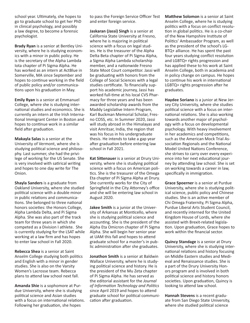school year. Ultimately, she hopes to go to graduate school to get her PhD in clinical psychology, and possibly a law degree, to become a forensic psychologist.

**Brady Ryan** is a senior at Bentley University, where he is studying economics with a minor in public policy. He is the secretary of the Alpha Lambda Iota chapter of Pi Sigma Alpha. He has worked as an intern at ActBlue in Somerville, MA since September and hopes to continue working in the field of public policy and/or communica tions upon his graduation in May.

**Emily Ryan** is a senior at Emmanuel College, where she is studying international studies and economics. She is currently an intern at the Irish Interna tional Immigrant Center in Boston and hopes to continue work in a similar field after graduation.

**Makayla Salas** is a senior at the University of Vermont, where she is studying political science and philosophy. Last summer, she had the privilege of working for the US Senate. She is very involved with satirical writing and hopes to one day write for The Onion.

**Shayla Sanders** is a graduate from Oakland University, where she studied political science with a double minor in public relations and communications. She belonged to three national honors societies: the Honors College, Alpha Lambda Delta, and Pi Sigma Alpha. She was also part of the track team for three years in which she competed as a Division I athlete. She is currently studying for the LSAT while working at a law firm and has hopes to enter law school in Fall 2020.

**Rebecca Shea** is a senior at Saint Anselm College studying both politics and English with a minor in gender studies. She is also on the Varsity Women's Lacrosse team. Rebecca plans to attend law school next fall.

**Amanda Shie** is a sophomore at Purdue University, where she is studying political science and Asian studies with a focus on international relations. Following her graduation, she hopes

to pass the Foreign Service Officer Test and enter foreign service.

**Jaskaran (Jassi) Singh** is a senior at California State University at Fresno, where he is majoring in political science with a focus on legal studies. He is the treasurer of the Alpha Delta Beta chapter of Pi Sigma Alpha, a Sigma Alpha Lambda scholarship member, and a nationwide Fresno State Moot Court competitor. Jassi will be graduating with honors from the College of Social Sciences with a legal studies certificate. To financially support his academic journey, Jassi has worked full-time at his local CVS Pharmacy for three years and has been awarded scholarship awards from the Maddy Legislative Intern Program, Karl Buckman Memorial Scholar, Fresno COSS, etc. In Summer 2020, Jassi will study abroad in the Himalayas and visit Amritsar, India, the region that was his focus in his undergraduate thesis. He intends to take a gap year after graduation before entering law school in Fall 2021.

Kat Sittenauer is a senior at Drury University, where she is studying political science with a focus on American poli tics. She is the treasurer of the Omega Eta chapter of Pi Sigma Alpha at Drury. She currently works for the City of Springfield in the City Attorney's office and she will be entering law school in August 2020.

**Jakee Smith** is a junior at the University of Arkansas at Monticello, where she is studying political science and accounting. She is the president of the Alpha Eta Omicron chapter of Pi Sigma Alpha. She will begin her senior year at UAM this fall and hopes to attend graduate school for a master's in public administration after she graduates.

**Jonathon Smith** is a senior at Baldwin Wallace University, where he is studying political science and history. He is the president of the Mu Zeta chapter of Pi Sigma Alpha. He has served as the editorial assistant for the *Journal*   $of$  Information Technology and Politics since April 2019 and hopes to attend graduate school for political communication after graduation.

**Matthew Solomon** is a senior at Saint Anselm College, where he is studying politics with a focus on conflict resolution in global politics. He is a co-chair of the New Hampshire Institute of Politics' Ambassador Program, as well as the president of the school's LG-BTQ+ alliance. He has spent the past four years studying conflict resolution and LGBTQ+ rights progression and has applied these to his work at Saint Anselm College, both in academia and in policy change on campus. He hopes to continue his work in international LGBTQ+ rights progression after he graduates.

**Haydee Soriano** is a junior at New Jersey City University, where she studies political science with a focus on international relations. She is also working towards another major of psychology with a focus on developmental psychology. With heavy involvement in her academics and competitions, such as the American Mock Trial Association Regionals and the National Model United Nations Conference, she strives to carry over every experience into her next educational journey by attending law school. She is set on working towards a career in law, specifically in immigration.

**Grace Spoerner** is a senior at Purdue University, where she is studying political science, public policy and Chinese studies. She is an active member of Chi Omega Fraternity, Pi Sigma Alpha, Purdue Liberal Arts Student Council, and recently interned for the United Kingdom House of Lords, where she assisted with Brexit-related legisla tion. Upon graduation, Grace hopes to work within the financial sector.

**Quincy Standage** is a senior at Drury University, where she is studying international relations and history focusing on Middle Eastern studies and Medieval and Renaissance studies. She is a part of the Drury University Honors program and is involved in both political science and history honors societies. Upon graduation, Quincy is looking to attend law school.

**Hannah Stevens** is a recent graduate from San Diego State University, where she studied political science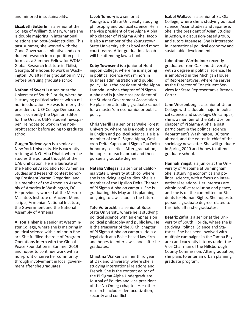and minored in sustainability.

**Elizabeth Sutterlin** is a senior at the College of William & Mary, where she is double majoring in international relations and post-Soviet studies. This past summer, she worked with the Good Governance Initiative and conducted research into e-petition platforms as a Summer Fellow for W&M's Global Research Institute in Tbilisi, Georgia. She hopes to work in Washington, DC after her graduation in May before pursuing graduate school.

**Nathaniel Sweet** is a senior at the University of South Florida, where he is studying political science with a minor in education. He was formerly the president of USF College Democrats and is currently the Opinion Editor for the Oracle, USF's student newspaper. He hopes to work in the nonprofit sector before going to graduate school.

**Gurgen Tadevosyan** is a senior at New York University. He is currently residing at NYU Abu Dhabi, where he studies the political thought of the UAE unification. He is a laureate of the National Association for Armenian Studies and Research contest honoring President Vartan Gregorian, and is a member of the Armenian Assembly of America in Washington, DC. He previously worked at the Mesrop Mashtots Institute of Ancient Manuscripts, Armenian National Institute, the Government and the National Assembly of Armenia.

**Alison Tinker** is a senior at Westminster College, where she is majoring in political science with a minor in fine art. She fulfilled the role of Program-Operations Intern with the Global Peace Foundation in Summer 2019 and hopes to continue work with a non-profit or serve her community through involvement in local government after she graduates.

**Jacob Tomory** is a senior at Youngstown State University studying philosophy and political science. He is the vice president of the Alpha Alpha Rho chapter of Pi Sigma Alpha. Jacob is also a member of the Youngstown State University ethics bowl and moot court teams. After graduation, Jacob will be attending law school.

**Koby Townsend** is a junior at Huntingdon College, where he is majoring in political science with minors in business administration and public policy. He is the president of the Alpha Lambda Lambda chapter of Pi Sigma Alpha and is junior class president of the Student Government Association. He plans on attending graduate school for a master's in economics or public policy.

**Chris Verrill** is a senior at Wake Forest University, where he is a double major in English and political science. He is a member of the Pi Sigma Alpha, Omicron Delta Kappa, and Sigma Tau Delta honorary societies. After graduation, he hopes to teach abroad and then pursue a graduate degree.

**Natalia Villegas** is a senior at California State University at Chico, where she is studying legal studies. She is a member of the Upsilon Delta Chapter of Pi Sigma Alpha on campus. She is graduating this May and is planning on going to law school in the future.

**Tate Volbrecht** is a senior at Boise State University, where he is studying political science with an emphasis on political philosophy and public law. He is the treasurer of the Xi Chi chapter of Pi Sigma Alpha on campus. He is a legal clerk at a Boise-based law firm and hopes to enter law school after he graduates.

**Christina Walker** is in her third year at Oakland University, where she is studying international relations and French. She is the content editor of the Pi Sigma Alpha Undergraduate Journal of Politics and vice president of the Nu Omega chapter. Her other research includes democratization, security and conflict.

**Isabel Wallace** is a senior at St. Olaf College, where she is studying political science, Asian studies and Japanese. She is the president of Asian Studies in Action, a discussion-based group, and tutors Japanese. She is interested in international political economy and sustainable development.

**Johnathon Wertheimer** recently graduated from Oakland University with a degree in political science. He is employed in the Michigan House of Representatives, where he serves as the Director of Constituent Services for State Representative Brenda Carter.

**Jane Wiesenberg** is a senior at Union College with a double major in political science and sociology. On campus, she is a member of the Zeta Upsilon chapter of Pi Sigma Alpha, a past participant in the political science department's Washington, DC term abroad, and the editor-in-chief of the sociology newsletter. She will graduate in Spring 2020 and hopes to attend graduate school.

**Hannah Yingst** is a junior at the University of Alabama at Birmingham. She is studying economics and political science, with a focus on international relations. Her interests are within conflict resolution and peace, and she is on the committee for Students for Human Rights. She hopes to pursue a graduate degree related to this field after she graduates.

**Beatriz Zafra** is a senior at the University of South Florida, where she is studying Political Science and Statistics. She has been involved with multiple campaigns in the Tampa Bay area and currently interns under the Vice Chairman of the Hillsborough County Commission. After graduation, she plans to enter an urban planning graduate program.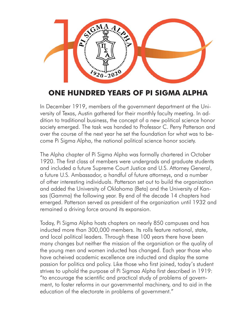

### **ONE HUNDRED YEARS OF PI SIGMA ALPHA**

In December 1919, members of the government department at the University of Texas, Austin gathered for their monthly faculty meeting. In addition to traditional business, the concept of a new political science honor society emerged. The task was handed to Professor C. Perry Patterson and over the course of the next year he set the foundation for what was to become Pi Sigma Alpha, the national political science honor society.

The Alpha chapter of Pi Sigma Alpha was formally chartered in October 1920. The first class of members were undergrads and graduate students and included a future Supreme Court Justice and U.S. Attorney General, a future U.S. Ambassador, a handful of future attorneys, and a number of other interesting individuals. Patterson set out to build the organization and added the University of Oklahoma (Beta) and the University of Kansas (Gamma) the following year. By end of the decade 14 chapters had emerged. Patterson served as president of the organization until 1932 and remained a driving force around its expansion.

Today, Pi Sigma Alpha hosts chapters on nearly 850 campuses and has inducted more than 300,000 members. Its rolls feature national, state, and local political leaders. Through these 100 years there have been many changes but neither the mission of the organiation or the quality of the young men and women inducted has changed. Each year those who have acheived academic excellence are inducted and display the same passion for politics and policy. Like those who first joined, today's student strives to uphold the purpose of Pi Sigmaa Alpha first described in 1919: "to encourage the scientific and practical study of problems of government, to foster reforms in our governmental machinery, and to aid in the education of the electorate in problems of government."